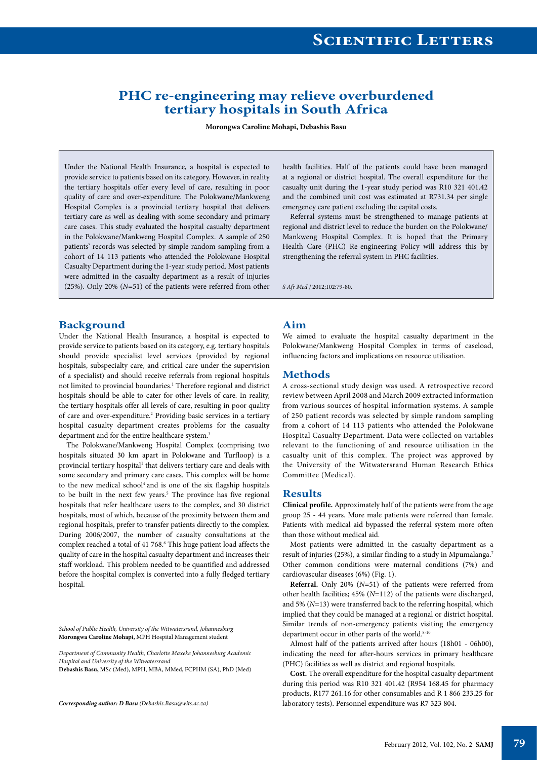## **PHC re-engineering may relieve overburdened tertiary hospitals in South Africa**

**Morongwa Caroline Mohapi, Debashis Basu**

Under the National Health Insurance, a hospital is expected to provide service to patients based on its category. However, in reality the tertiary hospitals offer every level of care, resulting in poor quality of care and over-expenditure. The Polokwane/Mankweng Hospital Complex is a provincial tertiary hospital that delivers tertiary care as well as dealing with some secondary and primary care cases. This study evaluated the hospital casualty department in the Polokwane/Mankweng Hospital Complex. A sample of 250 patients' records was selected by simple random sampling from a cohort of 14 113 patients who attended the Polokwane Hospital Casualty Department during the 1-year study period. Most patients were admitted in the casualty department as a result of injuries (25%). Only 20% (*N*=51) of the patients were referred from other health facilities. Half of the patients could have been managed at a regional or district hospital. The overall expenditure for the casualty unit during the 1-year study period was R10 321 401.42 and the combined unit cost was estimated at R731.34 per single emergency care patient excluding the capital costs.

Referral systems must be strengthened to manage patients at regional and district level to reduce the burden on the Polokwane/ Mankweng Hospital Complex. It is hoped that the Primary Health Care (PHC) Re-engineering Policy will address this by strengthening the referral system in PHC facilities.

*S Afr Med J* 2012;102:79-80.

#### **Background**

Under the National Health Insurance, a hospital is expected to provide service to patients based on its category, e.g. tertiary hospitals should provide specialist level services (provided by regional hospitals, subspecialty care, and critical care under the supervision of a specialist) and should receive referrals from regional hospitals not limited to provincial boundaries.<sup>1</sup> Therefore regional and district hospitals should be able to cater for other levels of care. In reality, the tertiary hospitals offer all levels of care, resulting in poor quality of care and over-expenditure.<sup>2</sup> Providing basic services in a tertiary hospital casualty department creates problems for the casualty department and for the entire healthcare system.<sup>3</sup>

The Polokwane/Mankweng Hospital Complex (comprising two hospitals situated 30 km apart in Polokwane and Turfloop) is a provincial tertiary hospital<sup>1</sup> that delivers tertiary care and deals with some secondary and primary care cases. This complex will be home to the new medical school<sup>4</sup> and is one of the six flagship hospitals to be built in the next few years.<sup>5</sup> The province has five regional hospitals that refer healthcare users to the complex, and 30 district hospitals, most of which, because of the proximity between them and regional hospitals, prefer to transfer patients directly to the complex. During 2006/2007, the number of casualty consultations at the complex reached a total of 41 768.<sup>6</sup> This huge patient load affects the quality of care in the hospital casualty department and increases their staff workload. This problem needed to be quantified and addressed before the hospital complex is converted into a fully fledged tertiary hospital.

*School of Public Health, University of the Witwatersrand, Johannesburg* **Morongwa Caroline Mohapi,** MPH Hospital Management student

*Department of Community Health, Charlotte Maxeke Johannesburg Academic Hospital and University of the Witwatersrand* **Debashis Basu,** MSc (Med), MPH, MBA, MMed, FCPHM (SA), PhD (Med)

*Corresponding author: D Basu (Debashis.Basu@wits.ac.za)*

#### **Aim**

We aimed to evaluate the hospital casualty department in the Polokwane/Mankweng Hospital Complex in terms of caseload, influencing factors and implications on resource utilisation.

#### **Methods**

A cross-sectional study design was used. A retrospective record review between April 2008 and March 2009 extracted information from various sources of hospital information systems. A sample of 250 patient records was selected by simple random sampling from a cohort of 14 113 patients who attended the Polokwane Hospital Casualty Department. Data were collected on variables relevant to the functioning of and resource utilisation in the casualty unit of this complex. The project was approved by the University of the Witwatersrand Human Research Ethics Committee (Medical).

### **Results**

**Clinical profile.** Approximately half of the patients were from the age group 25 - 44 years. More male patients were referred than female. Patients with medical aid bypassed the referral system more often than those without medical aid.

Most patients were admitted in the casualty department as a result of injuries (25%), a similar finding to a study in Mpumalanga.7 Other common conditions were maternal conditions (7%) and cardiovascular diseases (6%) (Fig. 1).

**Referral.** Only 20% (*N*=51) of the patients were referred from other health facilities; 45% (*N*=112) of the patients were discharged, and 5% (*N*=13) were transferred back to the referring hospital, which implied that they could be managed at a regional or district hospital. Similar trends of non-emergency patients visiting the emergency department occur in other parts of the world.<sup>8-10</sup>

Almost half of the patients arrived after hours (18h01 - 06h00), indicating the need for after-hours services in primary healthcare (PHC) facilities as well as district and regional hospitals.

**Cost.** The overall expenditure for the hospital casualty department during this period was R10 321 401.42 (R954 168.45 for pharmacy products, R177 261.16 for other consumables and R 1 866 233.25 for laboratory tests). Personnel expenditure was R7 323 804.